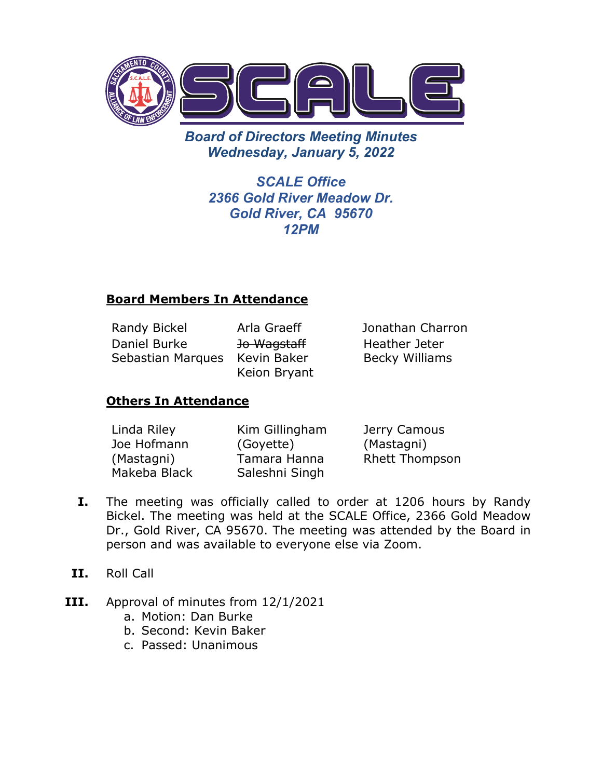

*Board of Directors Meeting Minutes Wednesday, January 5, 2022*

> *SCALE Office 2366 Gold River Meadow Dr. Gold River, CA 95670 12PM*

## **Board Members In Attendance**

Randy Bickel Arla Graeff Jonathan Charron Daniel Burke Sebastian Marques Kevin Baker

Jo Wagstaff Keion Bryant Heather Jeter Becky Williams

## **Others In Attendance**

| Linda Riley  | Kim Gillingham | Jerry Camous          |
|--------------|----------------|-----------------------|
| Joe Hofmann  | (Goyette)      | (Mastagni)            |
| (Mastagni)   | Tamara Hanna   | <b>Rhett Thompson</b> |
| Makeba Black | Saleshni Singh |                       |

- **I.** The meeting was officially called to order at 1206 hours by Randy Bickel. The meeting was held at the SCALE Office, 2366 Gold Meadow Dr., Gold River, CA 95670. The meeting was attended by the Board in person and was available to everyone else via Zoom.
- **II.** Roll Call
- **III.** Approval of minutes from 12/1/2021
	- a. Motion: Dan Burke
	- b. Second: Kevin Baker
	- c. Passed: Unanimous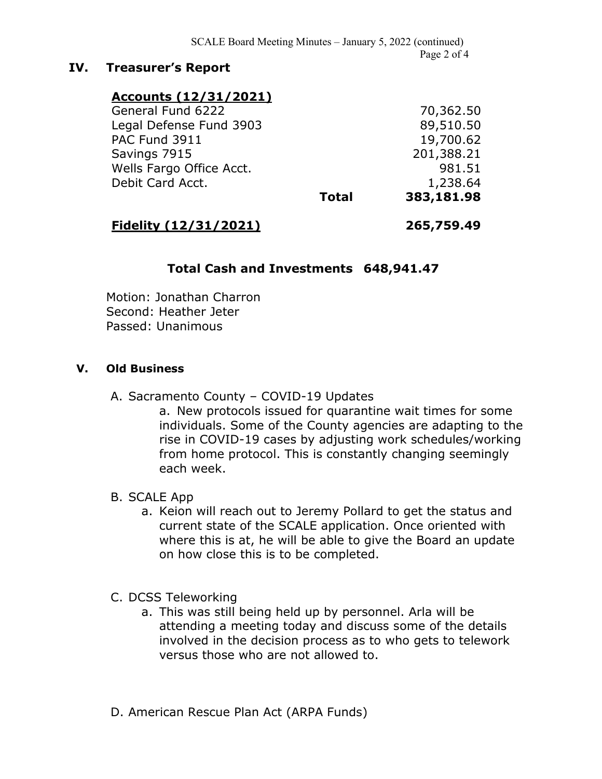#### **IV. Treasurer's Report**

### **Accounts (12/31/2021)**

|                          | <b>Total</b> | 383,181.98 |
|--------------------------|--------------|------------|
| Debit Card Acct.         |              | 1,238.64   |
| Wells Fargo Office Acct. |              | 981.51     |
| Savings 7915             |              | 201,388.21 |
| <b>PAC Fund 3911</b>     |              | 19,700.62  |
| Legal Defense Fund 3903  |              | 89,510.50  |
| General Fund 6222        |              | 70,362.50  |

# **Fidelity (12/31/2021) 265,759.49**

#### **Total Cash and Investments 648,941.47**

Motion: Jonathan Charron Second: Heather Jeter Passed: Unanimous

#### **V. Old Business**

#### A. Sacramento County – COVID-19 Updates

a. New protocols issued for quarantine wait times for some individuals. Some of the County agencies are adapting to the rise in COVID-19 cases by adjusting work schedules/working from home protocol. This is constantly changing seemingly each week.

#### B. SCALE App

a. Keion will reach out to Jeremy Pollard to get the status and current state of the SCALE application. Once oriented with where this is at, he will be able to give the Board an update on how close this is to be completed.

#### C. DCSS Teleworking

- a. This was still being held up by personnel. Arla will be attending a meeting today and discuss some of the details involved in the decision process as to who gets to telework versus those who are not allowed to.
- D. American Rescue Plan Act (ARPA Funds)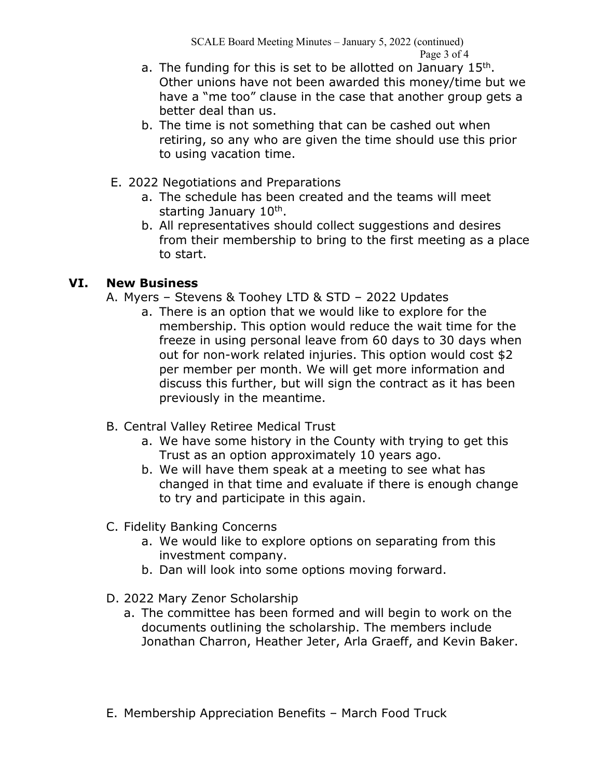- a. The funding for this is set to be allotted on January  $15<sup>th</sup>$ . Other unions have not been awarded this money/time but we have a "me too" clause in the case that another group gets a better deal than us.
- b. The time is not something that can be cashed out when retiring, so any who are given the time should use this prior to using vacation time.
- E. 2022 Negotiations and Preparations
	- a. The schedule has been created and the teams will meet starting January 10<sup>th</sup>.
	- b. All representatives should collect suggestions and desires from their membership to bring to the first meeting as a place to start.

## **VI. New Business**

- A. Myers Stevens & Toohey LTD & STD 2022 Updates
	- a. There is an option that we would like to explore for the membership. This option would reduce the wait time for the freeze in using personal leave from 60 days to 30 days when out for non-work related injuries. This option would cost \$2 per member per month. We will get more information and discuss this further, but will sign the contract as it has been previously in the meantime.
- B. Central Valley Retiree Medical Trust
	- a. We have some history in the County with trying to get this Trust as an option approximately 10 years ago.
	- b. We will have them speak at a meeting to see what has changed in that time and evaluate if there is enough change to try and participate in this again.
- C. Fidelity Banking Concerns
	- a. We would like to explore options on separating from this investment company.
	- b. Dan will look into some options moving forward.
- D. 2022 Mary Zenor Scholarship
	- a. The committee has been formed and will begin to work on the documents outlining the scholarship. The members include Jonathan Charron, Heather Jeter, Arla Graeff, and Kevin Baker.
- E. Membership Appreciation Benefits March Food Truck